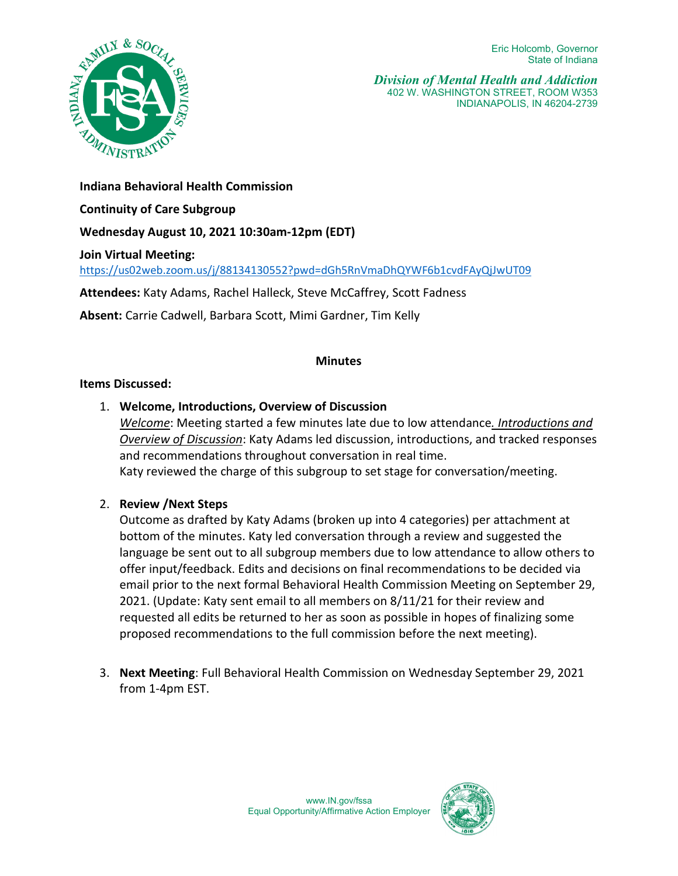

*Division of Mental Health and Addiction*  402 W. WASHINGTON STREET, ROOM W353 INDIANAPOLIS, IN 46204-2739

**Indiana Behavioral Health Commission** 

**Continuity of Care Subgroup**

**Wednesday August 10, 2021 10:30am-12pm (EDT)** 

**Join Virtual Meeting:** 

<https://us02web.zoom.us/j/88134130552?pwd=dGh5RnVmaDhQYWF6b1cvdFAyQjJwUT09>

**Attendees:** Katy Adams, Rachel Halleck, Steve McCaffrey, Scott Fadness

**Absent:** Carrie Cadwell, Barbara Scott, Mimi Gardner, Tim Kelly

## **Minutes**

## **Items Discussed:**

1. **Welcome, Introductions, Overview of Discussion** 

*Welcome*: Meeting started a few minutes late due to low attendance*. Introductions and Overview of Discussion*: Katy Adams led discussion, introductions, and tracked responses and recommendations throughout conversation in real time.

Katy reviewed the charge of this subgroup to set stage for conversation/meeting.

2. **Review /Next Steps**

Outcome as drafted by Katy Adams (broken up into 4 categories) per attachment at bottom of the minutes. Katy led conversation through a review and suggested the language be sent out to all subgroup members due to low attendance to allow others to offer input/feedback. Edits and decisions on final recommendations to be decided via email prior to the next formal Behavioral Health Commission Meeting on September 29, 2021. (Update: Katy sent email to all members on 8/11/21 for their review and requested all edits be returned to her as soon as possible in hopes of finalizing some proposed recommendations to the full commission before the next meeting).

3. **Next Meeting**: Full Behavioral Health Commission on Wednesday September 29, 2021 from 1-4pm EST.

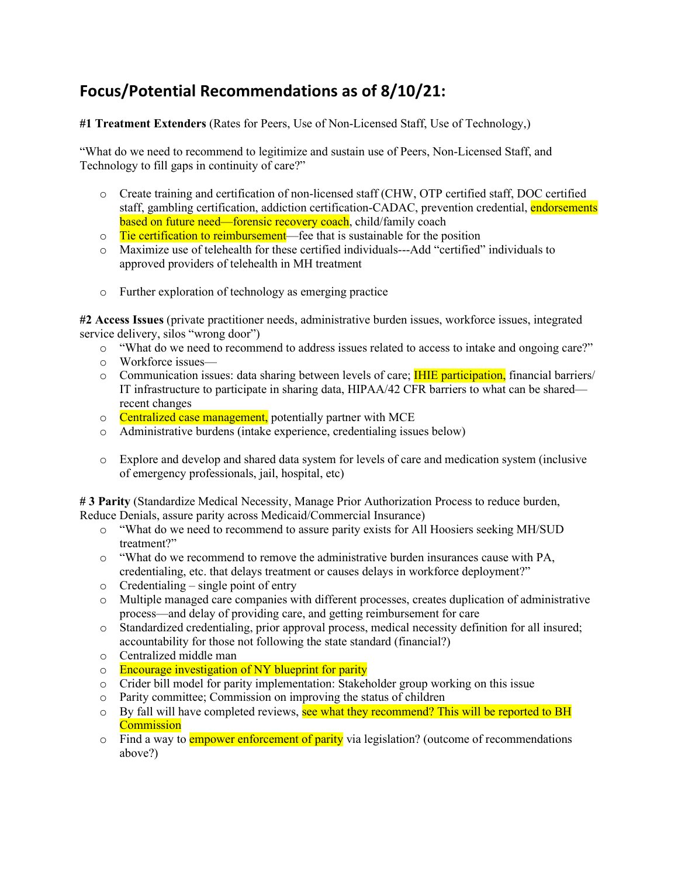## **Focus/Potential Recommendations as of 8/10/21:**

**#1 Treatment Extenders** (Rates for Peers, Use of Non-Licensed Staff, Use of Technology,)

"What do we need to recommend to legitimize and sustain use of Peers, Non-Licensed Staff, and Technology to fill gaps in continuity of care?"

- o Create training and certification of non-licensed staff (CHW, OTP certified staff, DOC certified staff, gambling certification, addiction certification-CADAC, prevention credential, endorsements based on future need—forensic recovery coach, child/family coach
- o Tie certification to reimbursement—fee that is sustainable for the position
- o Maximize use of telehealth for these certified individuals---Add "certified" individuals to approved providers of telehealth in MH treatment
- o Further exploration of technology as emerging practice

**#2 Access Issues** (private practitioner needs, administrative burden issues, workforce issues, integrated service delivery, silos "wrong door")

- o "What do we need to recommend to address issues related to access to intake and ongoing care?"
- o Workforce issues—
- $\circ$  Communication issues: data sharing between levels of care; **IHIE participation**, financial barriers/ IT infrastructure to participate in sharing data, HIPAA/42 CFR barriers to what can be shared recent changes
- o Centralized case management, potentially partner with MCE
- o Administrative burdens (intake experience, credentialing issues below)
- o Explore and develop and shared data system for levels of care and medication system (inclusive of emergency professionals, jail, hospital, etc)

**# 3 Parity** (Standardize Medical Necessity, Manage Prior Authorization Process to reduce burden, Reduce Denials, assure parity across Medicaid/Commercial Insurance)

- o "What do we need to recommend to assure parity exists for All Hoosiers seeking MH/SUD treatment?"
- o "What do we recommend to remove the administrative burden insurances cause with PA, credentialing, etc. that delays treatment or causes delays in workforce deployment?"
- $\circ$  Credentialing single point of entry
- o Multiple managed care companies with different processes, creates duplication of administrative process—and delay of providing care, and getting reimbursement for care
- o Standardized credentialing, prior approval process, medical necessity definition for all insured; accountability for those not following the state standard (financial?)
- o Centralized middle man
- $\circ$  Encourage investigation of NY blueprint for parity
- o Crider bill model for parity implementation: Stakeholder group working on this issue
- o Parity committee; Commission on improving the status of children
- o By fall will have completed reviews, see what they recommend? This will be reported to BH **Commission**
- $\circ$  Find a way to **empower enforcement of parity** via legislation? (outcome of recommendations above?)